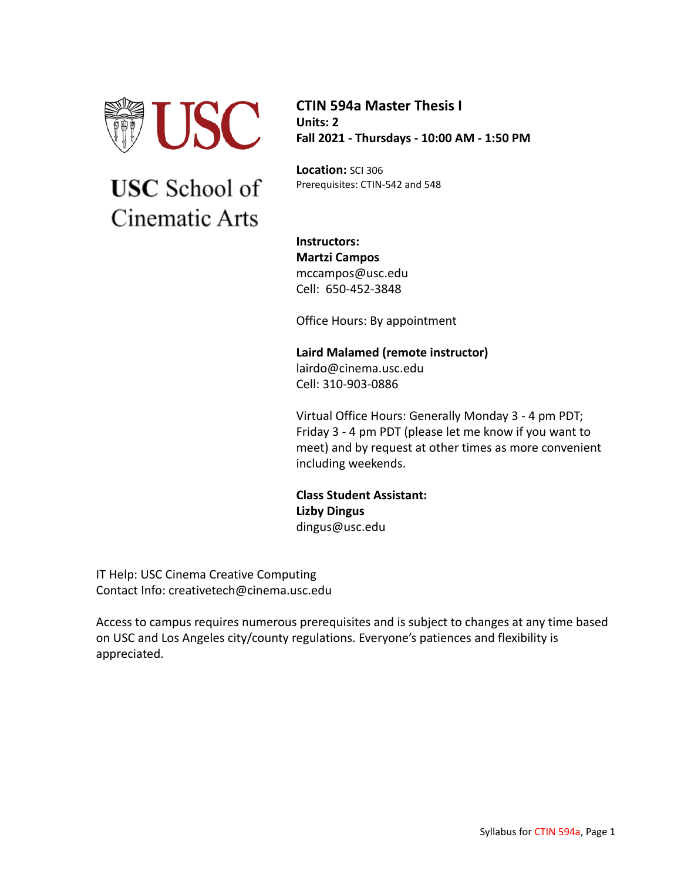

# **USC** School of Cinematic Arts

**CTIN 594a Master Thesis I Units: 2 Fall 2021 - Thursdays - 10:00 AM - 1:50 PM**

**Location:** SCI 306 Prerequisites: CTIN-542 and 548

**Instructors: Martzi Campos** mccampos@usc.edu Cell: 650-452-3848

Office Hours: By appointment

**Laird Malamed (remote instructor)** lairdo@cinema.usc.edu Cell: 310-903-0886

Virtual Office Hours: Generally Monday 3 - 4 pm PDT; Friday 3 - 4 pm PDT (please let me know if you want to meet) and by request at other times as more convenient including weekends.

**Class Student Assistant: Lizby Dingus** dingus@usc.edu

IT Help: USC Cinema Creative Computing Contact Info: creativetech@cinema.usc.edu

Access to campus requires numerous prerequisites and is subject to changes at any time based on USC and Los Angeles city/county regulations. Everyone's patiences and flexibility is appreciated.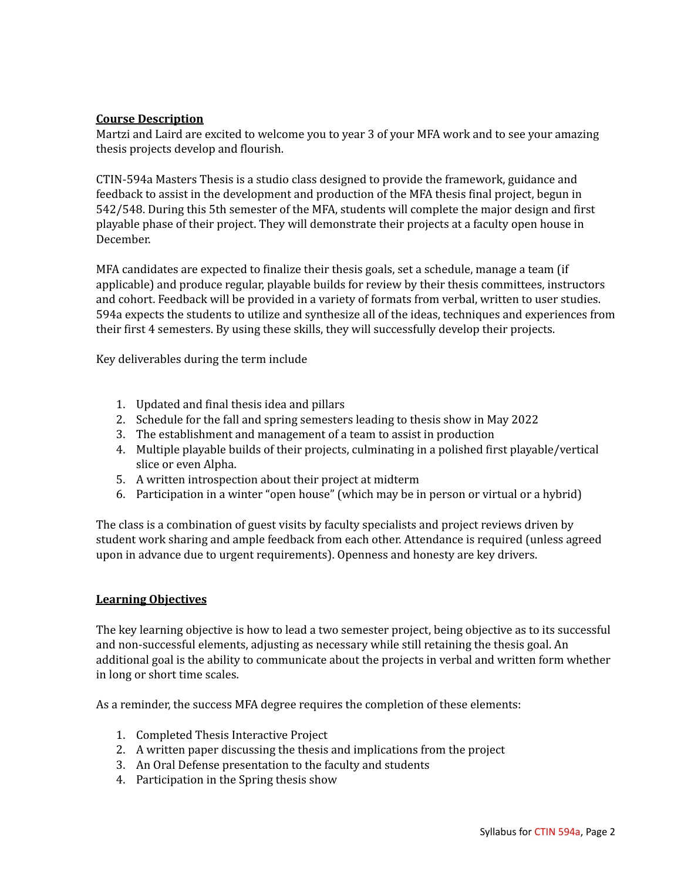# **Course Description**

Martzi and Laird are excited to welcome you to year 3 of your MFA work and to see your amazing thesis projects develop and flourish.

CTIN-594a Masters Thesis is a studio class designed to provide the framework, guidance and feedback to assist in the development and production of the MFA thesis final project, begun in 542/548. During this 5th semester of the MFA, students will complete the major design and first playable phase of their project. They will demonstrate their projects at a faculty open house in December.

MFA candidates are expected to finalize their thesis goals, set a schedule, manage a team (if applicable) and produce regular, playable builds for review by their thesis committees, instructors and cohort. Feedback will be provided in a variety of formats from verbal, written to user studies. 594a expects the students to utilize and synthesize all of the ideas, techniques and experiences from their first 4 semesters. By using these skills, they will successfully develop their projects.

Key deliverables during the term include

- 1. Updated and final thesis idea and pillars
- 2. Schedule for the fall and spring semesters leading to thesis show in May 2022
- 3. The establishment and management of a team to assist in production
- 4. Multiple playable builds of their projects, culminating in a polished first playable/vertical slice or even Alpha.
- 5. A written introspection about their project at midterm
- 6. Participation in a winter "open house" (which may be in person or virtual or a hybrid)

The class is a combination of guest visits by faculty specialists and project reviews driven by student work sharing and ample feedback from each other. Attendance is required (unless agreed upon in advance due to urgent requirements). Openness and honesty are key drivers.

# **Learning Objectives**

The key learning objective is how to lead a two semester project, being objective as to its successful and non-successful elements, adjusting as necessary while still retaining the thesis goal. An additional goal is the ability to communicate about the projects in verbal and written form whether in long or short time scales.

As a reminder, the success MFA degree requires the completion of these elements:

- 1. Completed Thesis Interactive Project
- 2. A written paper discussing the thesis and implications from the project
- 3. An Oral Defense presentation to the faculty and students
- 4. Participation in the Spring thesis show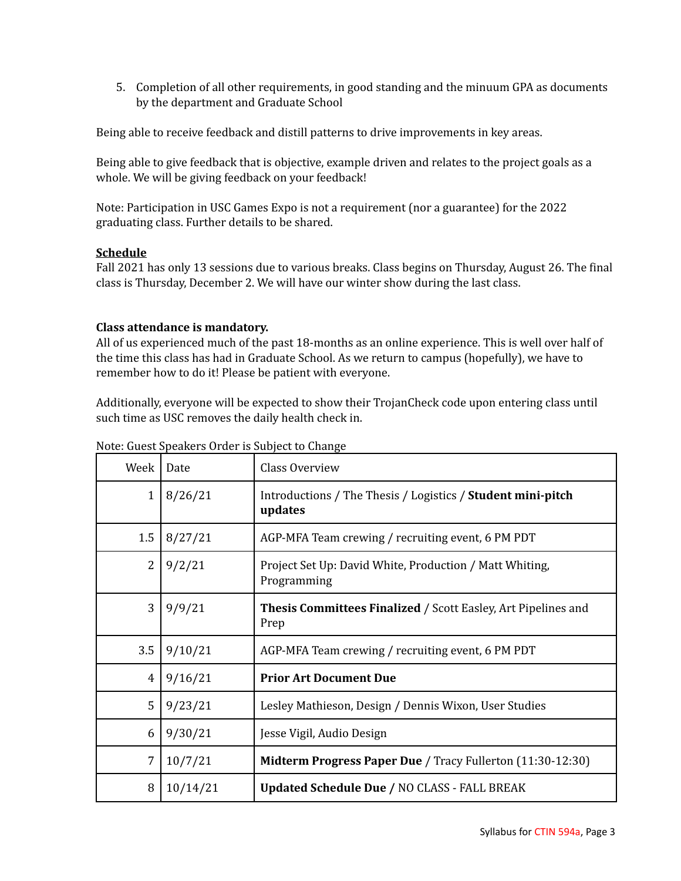5. Completion of all other requirements, in good standing and the minuum GPA as documents by the department and Graduate School

Being able to receive feedback and distill patterns to drive improvements in key areas.

Being able to give feedback that is objective, example driven and relates to the project goals as a whole. We will be giving feedback on your feedback!

Note: Participation in USC Games Expo is not a requirement (nor a guarantee) for the 2022 graduating class. Further details to be shared.

# **Schedule**

Fall 2021 has only 13 sessions due to various breaks. Class begins on Thursday, August 26. The final class is Thursday, December 2. We will have our winter show during the last class.

# **Class attendance is mandatory.**

All of us experienced much of the past 18-months as an online experience. This is well over half of the time this class has had in Graduate School. As we return to campus (hopefully), we have to remember how to do it! Please be patient with everyone.

Additionally, everyone will be expected to show their TrojanCheck code upon entering class until such time as USC removes the daily health check in.

| Week         | Date     | Class Overview                                                         |
|--------------|----------|------------------------------------------------------------------------|
| $\mathbf{1}$ | 8/26/21  | Introductions / The Thesis / Logistics / Student mini-pitch<br>updates |
| 1.5          | 8/27/21  | AGP-MFA Team crewing / recruiting event, 6 PM PDT                      |
| 2            | 9/2/21   | Project Set Up: David White, Production / Matt Whiting,<br>Programming |
| 3            | 9/9/21   | Thesis Committees Finalized / Scott Easley, Art Pipelines and<br>Prep  |
| 3.5          | 9/10/21  | AGP-MFA Team crewing / recruiting event, 6 PM PDT                      |
| 4            | 9/16/21  | <b>Prior Art Document Due</b>                                          |
| 5            | 9/23/21  | Lesley Mathieson, Design / Dennis Wixon, User Studies                  |
| 6            | 9/30/21  | Jesse Vigil, Audio Design                                              |
| 7            | 10/7/21  | Midterm Progress Paper Due / Tracy Fullerton (11:30-12:30)             |
| 8            | 10/14/21 | <b>Updated Schedule Due / NO CLASS - FALL BREAK</b>                    |

Note: Guest Speakers Order is Subject to Change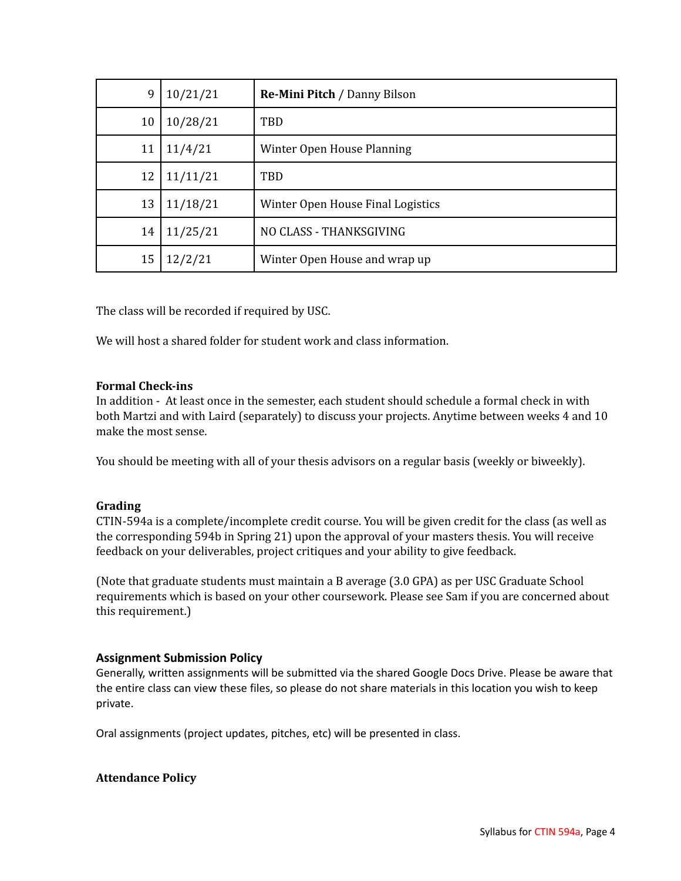| 9  | 10/21/21 | <b>Re-Mini Pitch / Danny Bilson</b> |
|----|----------|-------------------------------------|
| 10 | 10/28/21 | TBD                                 |
| 11 | 11/4/21  | Winter Open House Planning          |
| 12 | 11/11/21 | TBD                                 |
| 13 | 11/18/21 | Winter Open House Final Logistics   |
| 14 | 11/25/21 | NO CLASS - THANKSGIVING             |
| 15 | 12/2/21  | Winter Open House and wrap up       |

The class will be recorded if required by USC.

We will host a shared folder for student work and class information.

# **Formal Check-ins**

In addition - At least once in the semester, each student should schedule a formal check in with both Martzi and with Laird (separately) to discuss your projects. Anytime between weeks 4 and 10 make the most sense.

You should be meeting with all of your thesis advisors on a regular basis (weekly or biweekly).

# **Grading**

CTIN-594a is a complete/incomplete credit course. You will be given credit for the class (as well as the corresponding 594b in Spring 21) upon the approval of your masters thesis. You will receive feedback on your deliverables, project critiques and your ability to give feedback.

(Note that graduate students must maintain a B average (3.0 GPA) as per USC Graduate School requirements which is based on your other coursework. Please see Sam if you are concerned about this requirement.)

# **Assignment Submission Policy**

Generally, written assignments will be submitted via the shared Google Docs Drive. Please be aware that the entire class can view these files, so please do not share materials in this location you wish to keep private.

Oral assignments (project updates, pitches, etc) will be presented in class.

#### **Attendance Policy**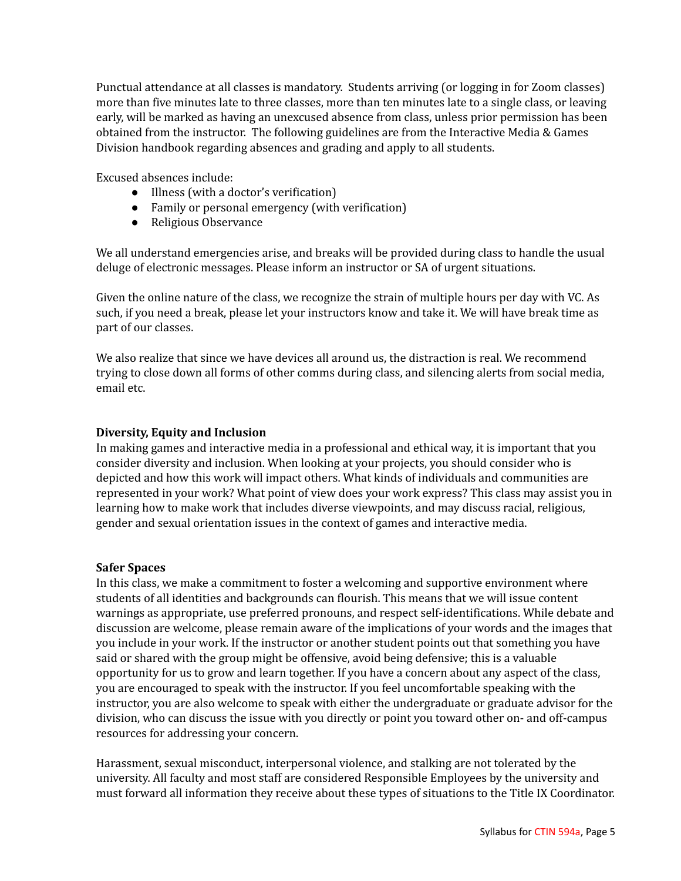Punctual attendance at all classes is mandatory. Students arriving (or logging in for Zoom classes) more than five minutes late to three classes, more than ten minutes late to a single class, or leaving early, will be marked as having an unexcused absence from class, unless prior permission has been obtained from the instructor. The following guidelines are from the Interactive Media & Games Division handbook regarding absences and grading and apply to all students.

Excused absences include:

- Illness (with a doctor's verification)
- Family or personal emergency (with verification)
- Religious Observance

We all understand emergencies arise, and breaks will be provided during class to handle the usual deluge of electronic messages. Please inform an instructor or SA of urgent situations.

Given the online nature of the class, we recognize the strain of multiple hours per day with VC. As such, if you need a break, please let your instructors know and take it. We will have break time as part of our classes.

We also realize that since we have devices all around us, the distraction is real. We recommend trying to close down all forms of other comms during class, and silencing alerts from social media, email etc.

# **Diversity, Equity and Inclusion**

In making games and interactive media in a professional and ethical way, it is important that you consider diversity and inclusion. When looking at your projects, you should consider who is depicted and how this work will impact others. What kinds of individuals and communities are represented in your work? What point of view does your work express? This class may assist you in learning how to make work that includes diverse viewpoints, and may discuss racial, religious, gender and sexual orientation issues in the context of games and interactive media.

# **Safer Spaces**

In this class, we make a commitment to foster a welcoming and supportive environment where students of all identities and backgrounds can flourish. This means that we will issue content warnings as appropriate, use preferred pronouns, and respect self-identifications. While debate and discussion are welcome, please remain aware of the implications of your words and the images that you include in your work. If the instructor or another student points out that something you have said or shared with the group might be offensive, avoid being defensive; this is a valuable opportunity for us to grow and learn together. If you have a concern about any aspect of the class, you are encouraged to speak with the instructor. If you feel uncomfortable speaking with the instructor, you are also welcome to speak with either the undergraduate or graduate advisor for the division, who can discuss the issue with you directly or point you toward other on- and off-campus resources for addressing your concern.

Harassment, sexual misconduct, interpersonal violence, and stalking are not tolerated by the university. All faculty and most staff are considered Responsible Employees by the university and must forward all information they receive about these types of situations to the Title IX Coordinator.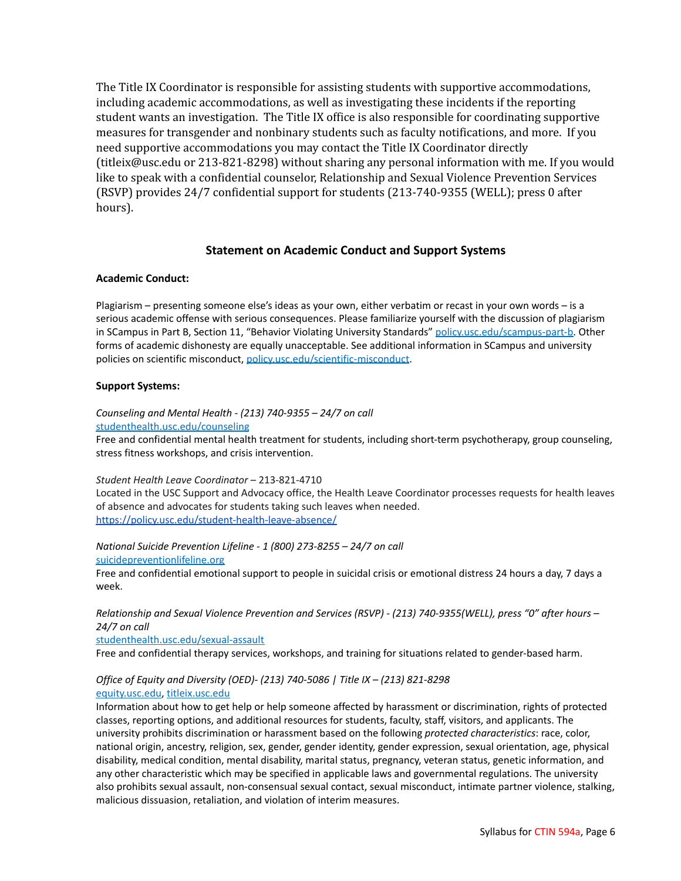The Title IX Coordinator is responsible for assisting students with supportive accommodations, including academic accommodations, as well as investigating these incidents if the reporting student wants an investigation. The Title IX office is also responsible for coordinating supportive measures for transgender and nonbinary students such as faculty notifications, and more. If you need supportive accommodations you may contact the Title IX Coordinator directly (titleix@usc.edu or 213-821-8298) without sharing any personal information with me. If you would like to speak with a confidential counselor, Relationship and Sexual Violence Prevention Services (RSVP) provides 24/7 confidential support for students (213-740-9355 (WELL); press 0 after hours).

## **Statement on Academic Conduct and Support Systems**

#### **Academic Conduct:**

Plagiarism – presenting someone else's ideas as your own, either verbatim or recast in your own words – is a serious academic offense with serious consequences. Please familiarize yourself with the discussion of plagiarism in SCampus in Part B, Section 11, "Behavior Violating University Standards" [policy.usc.edu/scampus-part-b.](https://policy.usc.edu/scampus-part-b/) Other forms of academic dishonesty are equally unacceptable. See additional information in SCampus and university policies on scientific misconduct, [policy.usc.edu/scientific-misconduct](http://policy.usc.edu/scientific-misconduct).

#### **Support Systems:**

*Counseling and Mental Health - (213) 740-9355 – 24/7 on call* [studenthealth.usc.edu/counseling](https://studenthealth.usc.edu/counseling/)

Free and confidential mental health treatment for students, including short-term psychotherapy, group counseling, stress fitness workshops, and crisis intervention.

*Student Health Leave Coordinator* – 213-821-4710

Located in the USC Support and Advocacy office, the Health Leave Coordinator processes requests for health leaves of absence and advocates for students taking such leaves when needed. <https://policy.usc.edu/student-health-leave-absence/>

*National Suicide Prevention Lifeline - 1 (800) 273-8255 – 24/7 on call* [suicidepreventionlifeline.org](http://www.suicidepreventionlifeline.org/)

Free and confidential emotional support to people in suicidal crisis or emotional distress 24 hours a day, 7 days a [w](http://www.suicidepreventionlifeline.org/)eek.

*Relationship and Sexual Violence Prevention and Services (RSVP) - (213) 740-9355(WELL), press "0" after hours – 24/7 on call*

[studenthealth.usc.edu/sexual-assault](https://studenthealth.usc.edu/sexual-assault/)

Free and confidential therapy services, workshops, and training for situations related to gender-based harm[.](https://engemannshc.usc.edu/rsvp/)

#### *Office of Equity and Diversity (OED)- (213) 740-5086 | Title IX – (213) 821-8298* [equity.usc.edu](https://equity.usc.edu/), [titleix.usc.edu](http://titleix.usc.edu)

Information about how to get help or help someone affected by harassment or discrimination, rights of protected classes, reporting options, and additional resources for students, faculty, staff, visitors, and applicants. The university prohibits discrimination or harassment based on the following *protected characteristics*: race, color, national origin, ancestry, religion, sex, gender, gender identity, gender expression, sexual orientation, age, physical disability, medical condition, mental disability, marital status, pregnancy, veteran status, genetic information, and any other characteristic which may be specified in applicable laws and governmental regulations. The university also prohibits sexual assault, non-consensual sexual contact, sexual misconduct, intimate partner violence, stalking, malicious dissuasion, retaliation, and violation of interim measures.